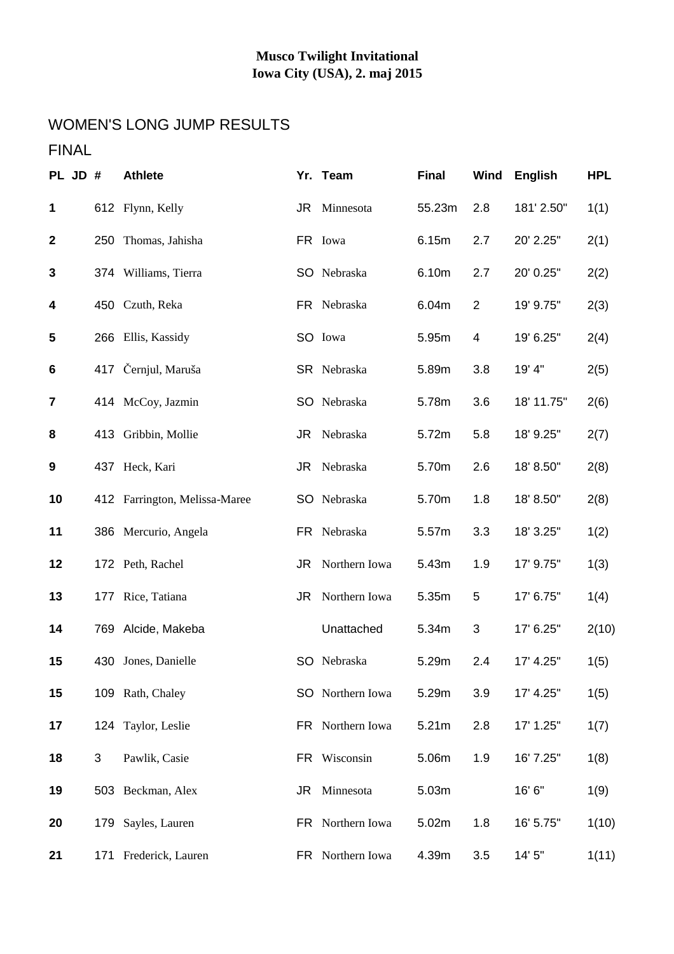# WOMEN'S LONG JUMP RESULTS

## FINAL

| PL JD #                 |     | <b>Athlete</b>                |    | Yr. Team         | <b>Final</b> | <b>Wind</b>    | <b>English</b> | <b>HPL</b> |
|-------------------------|-----|-------------------------------|----|------------------|--------------|----------------|----------------|------------|
| $\mathbf 1$             |     | 612 Flynn, Kelly              |    | JR Minnesota     | 55.23m       | 2.8            | 181' 2.50"     | 1(1)       |
| $\boldsymbol{2}$        | 250 | Thomas, Jahisha               |    | FR Iowa          | 6.15m        | 2.7            | 20' 2.25"      | 2(1)       |
| $\mathbf{3}$            |     | 374 Williams, Tierra          |    | SO Nebraska      | 6.10m        | 2.7            | 20' 0.25"      | 2(2)       |
| 4                       |     | 450 Czuth, Reka               |    | FR Nebraska      | 6.04m        | $\overline{2}$ | 19' 9.75"      | 2(3)       |
| 5                       |     | 266 Ellis, Kassidy            |    | SO Iowa          | 5.95m        | 4              | 19' 6.25"      | 2(4)       |
| 6                       |     | 417 Černjul, Maruša           |    | SR Nebraska      | 5.89m        | 3.8            | 19' 4"         | 2(5)       |
| $\overline{\mathbf{r}}$ |     | 414 McCoy, Jazmin             |    | SO Nebraska      | 5.78m        | 3.6            | 18' 11.75"     | 2(6)       |
| 8                       |     | 413 Gribbin, Mollie           |    | JR Nebraska      | 5.72m        | 5.8            | 18' 9.25"      | 2(7)       |
| 9                       |     | 437 Heck, Kari                |    | JR Nebraska      | 5.70m        | 2.6            | 18' 8.50"      | 2(8)       |
| 10                      |     | 412 Farrington, Melissa-Maree |    | SO Nebraska      | 5.70m        | 1.8            | 18' 8.50"      | 2(8)       |
| 11                      |     | 386 Mercurio, Angela          |    | FR Nebraska      | 5.57m        | 3.3            | 18' 3.25"      | 1(2)       |
| 12                      |     | 172 Peth, Rachel              |    | JR Northern Iowa | 5.43m        | 1.9            | 17' 9.75"      | 1(3)       |
| 13                      |     | 177 Rice, Tatiana             | JR | Northern Iowa    | 5.35m        | 5              | 17' 6.75"      | 1(4)       |
| 14                      |     | 769 Alcide, Makeba            |    | Unattached       | 5.34m        | 3              | 17' 6.25"      | 2(10)      |
| 15                      |     | 430 Jones, Danielle           |    | SO Nebraska      | 5.29m        | 2.4            | 17' 4.25"      | 1(5)       |
| 15                      |     | 109 Rath, Chaley              |    | SO Northern Iowa | 5.29m        | 3.9            | 17' 4.25"      | 1(5)       |
| 17                      |     | 124 Taylor, Leslie            |    | FR Northern Iowa | 5.21m        | 2.8            | 17' 1.25"      | 1(7)       |
| 18                      | 3   | Pawlik, Casie                 |    | FR Wisconsin     | 5.06m        | 1.9            | 16' 7.25"      | 1(8)       |
| 19                      |     | 503 Beckman, Alex             | JR | Minnesota        | 5.03m        |                | 16'6"          | 1(9)       |
| 20                      |     | 179 Sayles, Lauren            |    | FR Northern Iowa | 5.02m        | 1.8            | 16' 5.75"      | 1(10)      |
| 21                      |     | 171 Frederick, Lauren         |    | FR Northern Iowa | 4.39m        | 3.5            | 14' 5"         | 1(11)      |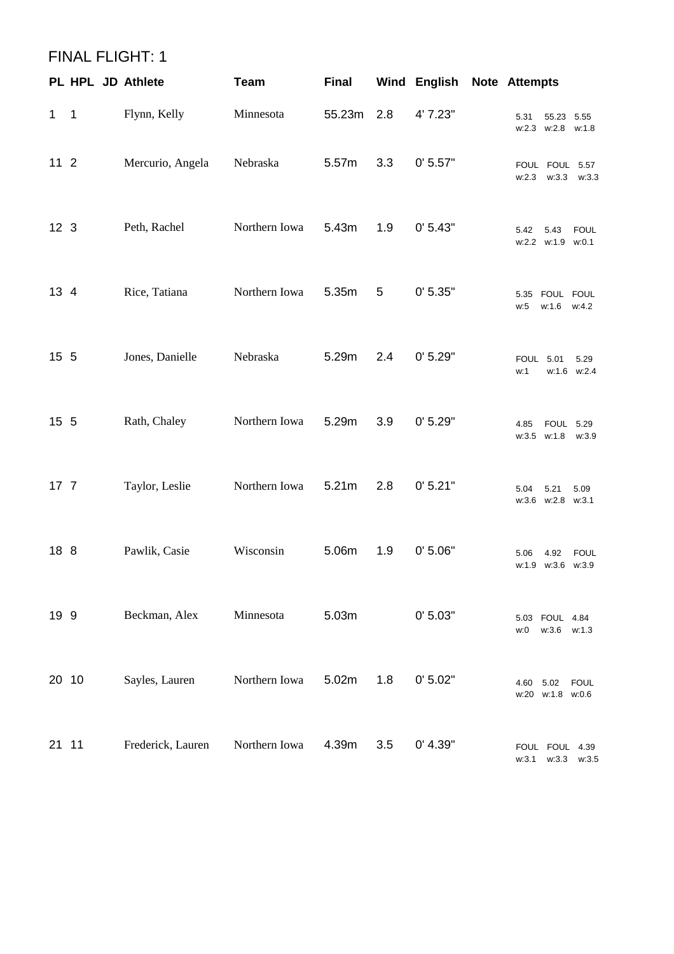|                 | <b>FINAL FLIGHT: 1</b> |                   |               |              |                |              |                                                  |
|-----------------|------------------------|-------------------|---------------|--------------|----------------|--------------|--------------------------------------------------|
|                 | PL HPL JD Athlete      |                   | <b>Team</b>   | <b>Final</b> |                | Wind English | <b>Note Attempts</b>                             |
| 1               | $\overline{1}$         | Flynn, Kelly      | Minnesota     | 55.23m       | 2.8            | 4' 7.23"     | 5.31<br>55.23 5.55<br>w:2.3 w:2.8 w:1.8          |
| $112$           |                        | Mercurio, Angela  | Nebraska      | 5.57m        | 3.3            | 0' 5.57"     | FOUL FOUL 5.57<br>w:2.3<br>w:3.3<br>w:3.3        |
| 12 <sub>3</sub> |                        | Peth, Rachel      | Northern Iowa | 5.43m        | 1.9            | 0' 5.43"     | <b>FOUL</b><br>5.42<br>5.43<br>w:2.2 w:1.9 w:0.1 |
| 13 4            |                        | Rice, Tatiana     | Northern Iowa | 5.35m        | $\overline{5}$ | 0' 5.35"     | 5.35 FOUL FOUL<br>w:1.6 w:4.2<br>w:5             |
| 15 5            |                        | Jones, Danielle   | Nebraska      | 5.29m        | 2.4            | 0' 5.29"     | <b>FOUL 5.01</b><br>5.29<br>w:1.6 w:2.4<br>w:1   |
| 15 5            |                        | Rath, Chaley      | Northern Iowa | 5.29m        | 3.9            | 0' 5.29"     | 4.85<br><b>FOUL 5.29</b><br>w:3.5 w:1.8<br>w:3.9 |
| 17 <sub>7</sub> |                        | Taylor, Leslie    | Northern Iowa | 5.21m        | 2.8            | 0' 5.21"     | 5.04<br>5.21<br>5.09<br>w:3.6 w:2.8 w:3.1        |
| 18 8            |                        | Pawlik, Casie     | Wisconsin     | 5.06m        | 1.9            | 0' 5.06"     | 5.06  4.92  FOUL<br>w:1.9 w:3.6 w:3.9            |
| 19 9            |                        | Beckman, Alex     | Minnesota     | 5.03m        |                | 0' 5.03"     | 5.03 FOUL 4.84<br>w:3.6 w:1.3<br>w:0             |
|                 | 20 10                  | Sayles, Lauren    | Northern Iowa | 5.02m        | 1.8            | 0' 5.02"     | 4.60<br>5.02<br><b>FOUL</b><br>w:20 w:1.8 w:0.6  |
| 21 11           |                        | Frederick, Lauren | Northern Iowa | 4.39m        | 3.5            | 0' 4.39"     | FOUL FOUL 4.39<br>$w:3.3$ $w:3.5$<br>w:3.1       |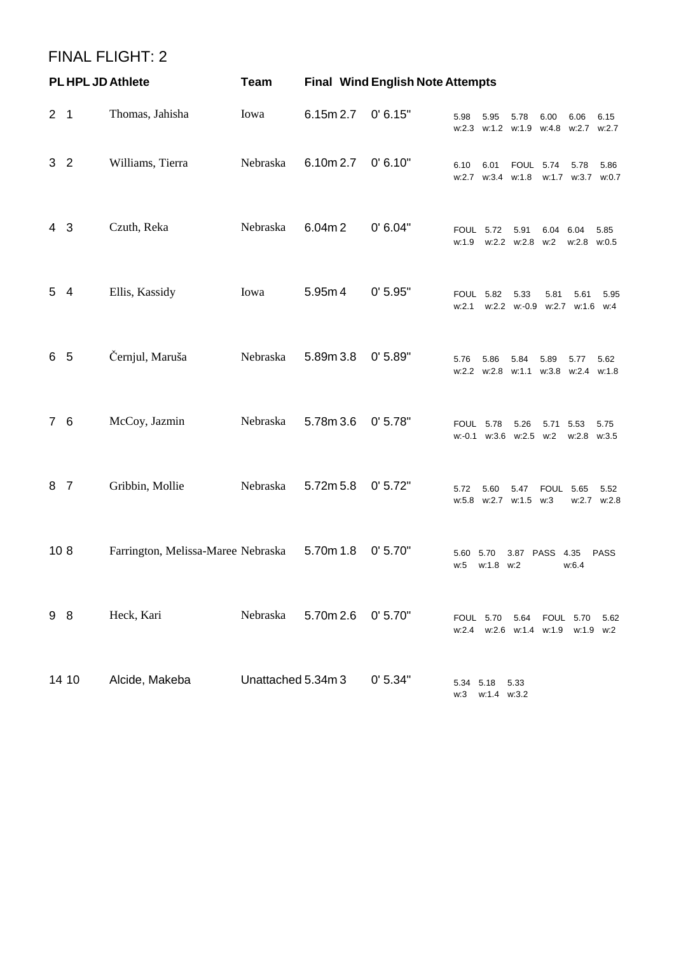#### FINAL FLIGHT: 2

| <b>PL HPL JD Athlete</b> |                |                                    | <b>Final Wind English Note Attempts</b><br><b>Team</b> |           |          |                  |                                            |                  |                     |                           |                     |
|--------------------------|----------------|------------------------------------|--------------------------------------------------------|-----------|----------|------------------|--------------------------------------------|------------------|---------------------|---------------------------|---------------------|
| 2 <sub>1</sub>           |                | Thomas, Jahisha                    | Iowa                                                   | 6.15m 2.7 | 0' 6.15" | 5.98             | 5.95<br>w:2.3 w:1.2 w:1.9 w:4.8 w:2.7      | 5.78             | 6.00                | 6.06                      | 6.15<br>w:2.7       |
| 3                        | $\overline{2}$ | Williams, Tierra                   | Nebraska                                               | 6.10m 2.7 | 0' 6.10" | 6.10             | 6.01<br>w:2.7 w:3.4 w:1.8                  | <b>FOUL 5.74</b> |                     | 5.78<br>w:1.7 w:3.7 w:0.7 | 5.86                |
| 4 <sub>3</sub>           |                | Czuth, Reka                        | Nebraska                                               | 6.04m2    | 0' 6.04" | <b>FOUL 5.72</b> | w:1.9 w:2.2 w:2.8 w:2                      | 5.91             | 6.04                | 6.04<br>$w:2.8$ $w:0.5$   | 5.85                |
| 5 4                      |                | Ellis, Kassidy                     | Iowa                                                   | 5.95m 4   | 0' 5.95" | <b>FOUL 5.82</b> | w:2.1 w:2.2 w:-0.9 w:2.7 w:1.6 w:4         | 5.33             | 5.81                | 5.61                      | 5.95                |
| 6                        | - 5            | Černjul, Maruša                    | Nebraska                                               | 5.89m 3.8 | 0' 5.89" | 5.76             | 5.86<br>$w:2.2$ $w:2.8$                    | 5.84<br>w:1.1    | 5.89<br>w:3.8 w:2.4 | 5.77                      | 5.62<br>w:1.8       |
| 7 6                      |                | McCoy, Jazmin                      | Nebraska                                               | 5.78m 3.6 | 0' 5.78" |                  | <b>FOUL 5.78</b><br>w:-0.1 w:3.6 w:2.5 w:2 | 5.26             | 5.71 5.53           | w:2.8 w:3.5               | 5.75                |
| 8                        | $\overline{7}$ | Gribbin, Mollie                    | Nebraska                                               | 5.72m 5.8 | 0' 5.72" | 5.72             | 5.60<br>w:5.8 w:2.7 w:1.5 w:3              | 5.47             | <b>FOUL 5.65</b>    |                           | 5.52<br>w:2.7 w:2.8 |
| 108                      |                | Farrington, Melissa-Maree Nebraska |                                                        | 5.70m 1.8 | 0' 5.70" | 5.60<br>w:5      | 5.70<br>w:1.8 w:2                          | 3.87 PASS 4.35   |                     | w:6.4                     | <b>PASS</b>         |
| 9 8                      |                | Heck, Kari                         | Nebraska                                               | 5.70m 2.6 | 0' 5.70" | <b>FOUL 5.70</b> | w:2.4 w:2.6 w:1.4 w:1.9 w:1.9 w:2          | 5.64             |                     | <b>FOUL 5.70</b>          | 5.62                |
|                          | 14 10          | Alcide, Makeba                     | Unattached 5.34m 3                                     |           | 0' 5.34" | 5.34 5.18<br>w:3 | $w:1.4$ $w:3.2$                            | 5.33             |                     |                           |                     |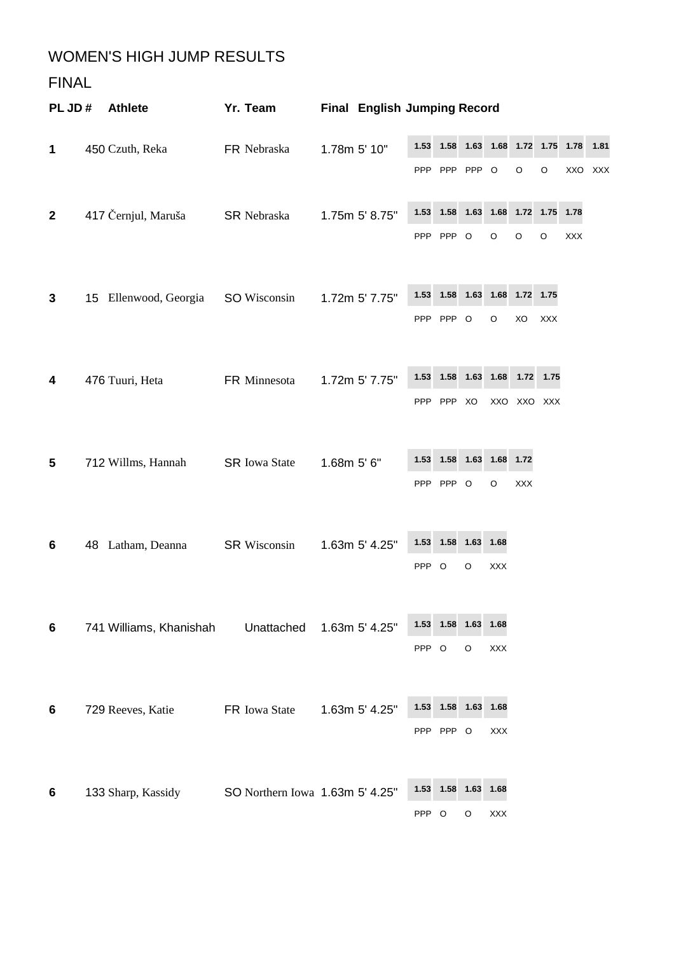### WOMEN'S HIGH JUMP RESULTS

#### FINAL

| PL JD#       |    | <b>Athlete</b>          | Yr. Team                        |                | <b>Final English Jumping Record</b> |                    |               |            |                    |             |             |            |            |
|--------------|----|-------------------------|---------------------------------|----------------|-------------------------------------|--------------------|---------------|------------|--------------------|-------------|-------------|------------|------------|
| 1            |    | 450 Czuth, Reka         | FR Nebraska                     | 1.78m 5' 10"   |                                     | 1.53               | 1.58          | 1.63       | 1.68               | 1.72 1.75   |             | 1.78       | 1.81       |
|              |    |                         |                                 |                |                                     | <b>PPP</b>         | <b>PPP</b>    | <b>PPP</b> | $\circ$            | O           | $\mathsf O$ | XXO        | <b>XXX</b> |
| $\mathbf{2}$ |    | 417 Černjul, Maruša     | <b>SR Nebraska</b>              |                | 1.75m 5' 8.75"                      | 1.53               | 1.58          | 1.63       | 1.68               | 1.72 1.75   |             | 1.78       |            |
|              |    |                         |                                 |                |                                     |                    | PPP PPP       | $\circ$    | O                  | $\circ$     | $\circ$     | <b>XXX</b> |            |
| 3            |    | 15 Ellenwood, Georgia   | SO Wisconsin                    |                | 1.72m 5' 7.75"                      | 1.53               | 1.58          | 1.63       | 1.68               | 1.72        | 1.75        |            |            |
|              |    |                         |                                 |                |                                     |                    | PPP PPP       | $\circ$    | O                  | XO          | XXX         |            |            |
| 4            |    | 476 Tuuri, Heta         | FR Minnesota                    |                | 1.72m 5' 7.75"                      | 1.53               | 1.58          | 1.63       | 1.68               | 1.72        | 1.75        |            |            |
|              |    |                         |                                 |                |                                     |                    | PPP PPP       | XO         |                    | XXO XXO XXX |             |            |            |
|              |    |                         |                                 |                |                                     |                    |               |            |                    |             |             |            |            |
| 5            |    | 712 Willms, Hannah      | <b>SR</b> Iowa State            | 1.68m 5' 6"    |                                     | 1.53               | 1.58          | 1.63       | 1.68               | 1.72        |             |            |            |
|              |    |                         |                                 |                |                                     |                    | PPP PPP       | $\circ$    | $\circ$            | XXX         |             |            |            |
|              |    |                         |                                 |                |                                     | 1.53               | 1.58          | 1.63       | 1.68               |             |             |            |            |
| 6            | 48 | Latham, Deanna          | <b>SR Wisconsin</b>             | 1.63m 5' 4.25" | PPP O                               |                    | O             | XXX        |                    |             |             |            |            |
|              |    |                         |                                 |                |                                     |                    |               |            |                    |             |             |            |            |
| 6            |    | 741 Williams, Khanishah | Unattached                      |                | 1.63m 5' 4.25"                      | 1.53               | 1.58          | 1.63       | 1.68               |             |             |            |            |
|              |    |                         |                                 |                | PPP O                               |                    | $\mathsf O$   | <b>XXX</b> |                    |             |             |            |            |
|              |    |                         |                                 |                |                                     |                    |               |            |                    |             |             |            |            |
| 6            |    | 729 Reeves, Katie       | FR Iowa State                   |                | 1.63m 5' 4.25"                      | 1.53<br><b>PPP</b> | 1.58<br>PPP O | 1.63       | 1.68<br><b>XXX</b> |             |             |            |            |
|              |    |                         |                                 |                |                                     |                    |               |            |                    |             |             |            |            |
| 6            |    | 133 Sharp, Kassidy      | SO Northern Iowa 1.63m 5' 4.25" |                |                                     | 1.53               | 1.58          | 1.63       | 1.68               |             |             |            |            |
|              |    |                         |                                 |                |                                     | PPP O              |               | O          | <b>XXX</b>         |             |             |            |            |